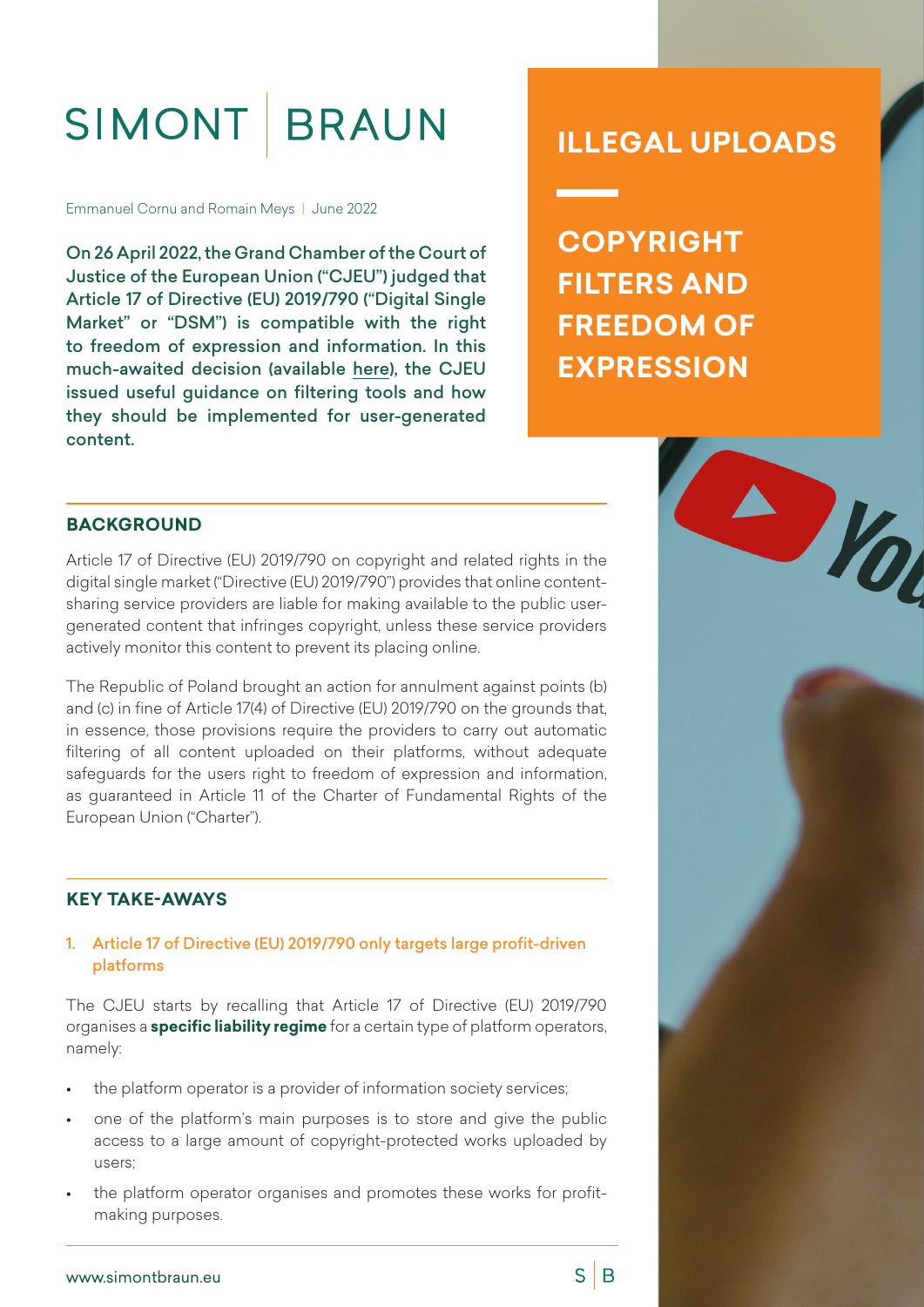# SIMONT BRAUN

Emmanuel Cornu and Romain Meys | June 2022

On 26 April 2022, the Grand Chamber of the Court of Justice of the European Union ("CJEU") judged that Article 17 of Directive (EU) 2019/790 ("Digital Single Market" or "DSM") is compatible with the right to freedom of expression and information. In this much-awaited decision (available [here](https://curia.europa.eu/juris/document/document.jsf;jsessionid=AE22C4870C52DB9DD2BCE3EF24AC19A5?text=&docid=258261&pageIndex=0&doclang=EN&mode=lst&dir=&occ=first&part=1&cid=1960439)), the CJEU issued useful guidance on filtering tools and how they should be implemented for user-generated content.

# **ILLEGAL UPLOADS**

**COPYRIGHT FILTERS AND FREEDOM OF EXPRESSION**

 $S \mid B$ 

#### **BACKGROUND**

Article 17 of Directive (EU) 2019/790 on copyright and related rights in the digital single market ("Directive (EU) 2019/790") provides that online contentsharing service providers are liable for making available to the public usergenerated content that infringes copyright, unless these service providers actively monitor this content to prevent its placing online.

The Republic of Poland brought an action for annulment against points (b) and (c) in fine of Article 17(4) of Directive (EU) 2019/790 on the grounds that, in essence, those provisions require the providers to carry out automatic filtering of all content uploaded on their platforms, without adequate safeguards for the users right to freedom of expression and information, as guaranteed in Article 11 of the Charter of Fundamental Rights of the European Union ("Charter").

#### **KEY TAKE-AWAYS**

1. Article 17 of Directive (EU) 2019/790 only targets large profit-driven platforms

The CJEU starts by recalling that Article 17 of Directive (EU) 2019/790 organises a **specific liability regime** for a certain type of platform operators, namely:

- the platform operator is a provider of information society services;
- one of the platform's main purposes is to store and give the public access to a large amount of copyright-protected works uploaded by users;
- the platform operator organises and promotes these works for profitmaking purposes.

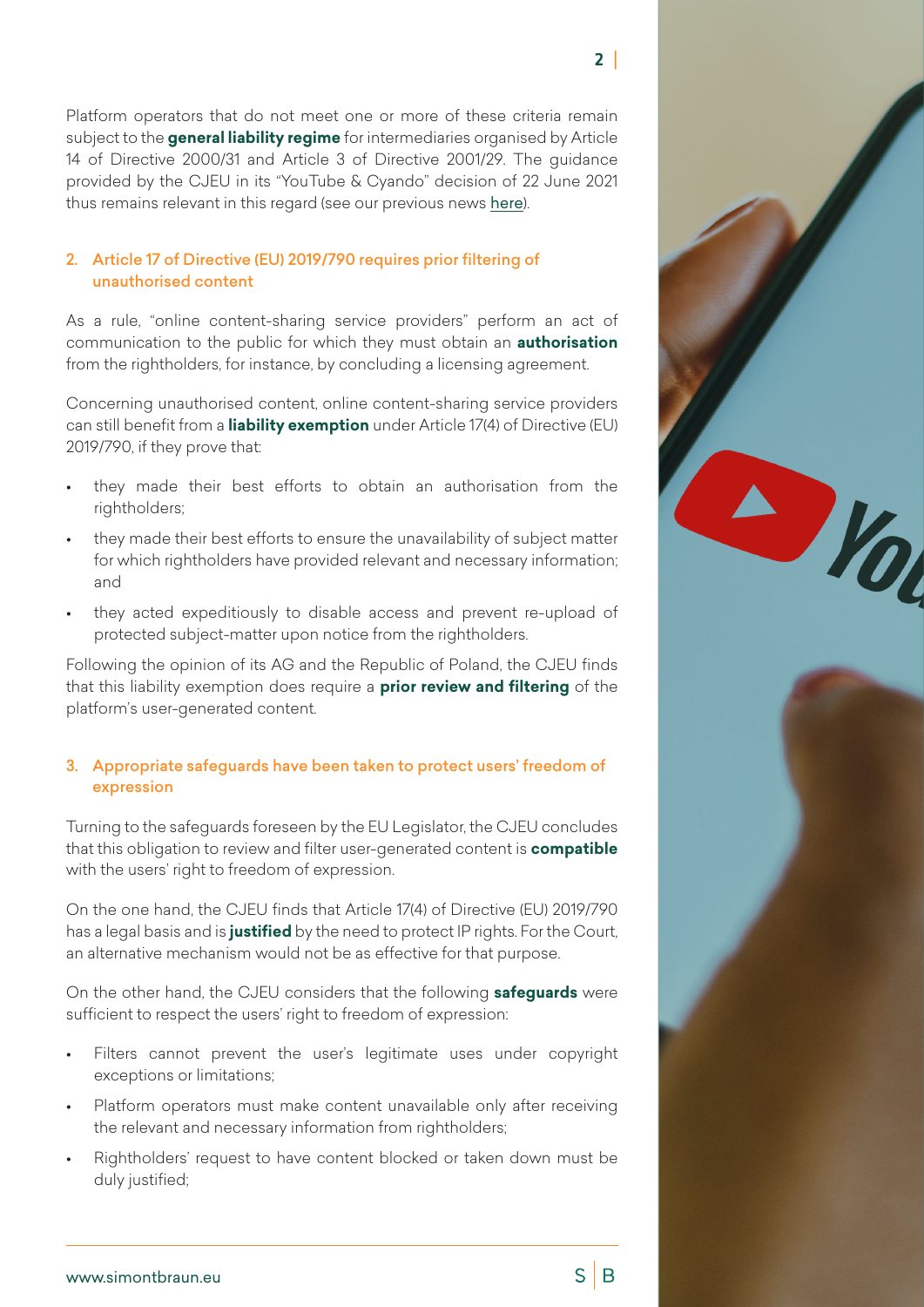$S \mid B$ 

Platform operators that do not meet one or more of these criteria remain subject to the **general liability regime** for intermediaries organised by Article 14 of Directive 2000/31 and Article 3 of Directive 2001/29. The guidance provided by the CJEU in its "YouTube & Cyando" decision of 22 June 2021 thus remains relevant in this regard (see our previous news [here](https://simontbraun.eu/illegal-uploads-cjeu-landmark-ruling-for-the-platform-economy/2021/06/24/)).

#### 2. Article 17 of Directive (EU) 2019/790 requires prior filtering of unauthorised content

As a rule, "online content-sharing service providers" perform an act of communication to the public for which they must obtain an **authorisation** from the rightholders, for instance, by concluding a licensing agreement.

Concerning unauthorised content, online content-sharing service providers can still benefit from a **liability exemption** under Article 17(4) of Directive (EU) 2019/790, if they prove that:

- they made their best efforts to obtain an authorisation from the rightholders;
- they made their best efforts to ensure the unavailability of subject matter for which rightholders have provided relevant and necessary information; and
- they acted expeditiously to disable access and prevent re-upload of protected subject-matter upon notice from the rightholders.

Following the opinion of its AG and the Republic of Poland, the CJEU finds that this liability exemption does require a **prior review and filtering** of the platform's user-generated content.

#### 3. Appropriate safeguards have been taken to protect users' freedom of expression

Turning to the safeguards foreseen by the EU Legislator, the CJEU concludes that this obligation to review and filter user-generated content is **compatible** with the users' right to freedom of expression.

On the one hand, the CJEU finds that Article 17(4) of Directive (EU) 2019/790 has a legal basis and is **justified** by the need to protect IP rights. For the Court, an alternative mechanism would not be as effective for that purpose.

On the other hand, the CJEU considers that the following **safeguards** were sufficient to respect the users' right to freedom of expression:

- Filters cannot prevent the user's legitimate uses under copyright exceptions or limitations;
- Platform operators must make content unavailable only after receiving the relevant and necessary information from rightholders;
- Rightholders' request to have content blocked or taken down must be duly justified;

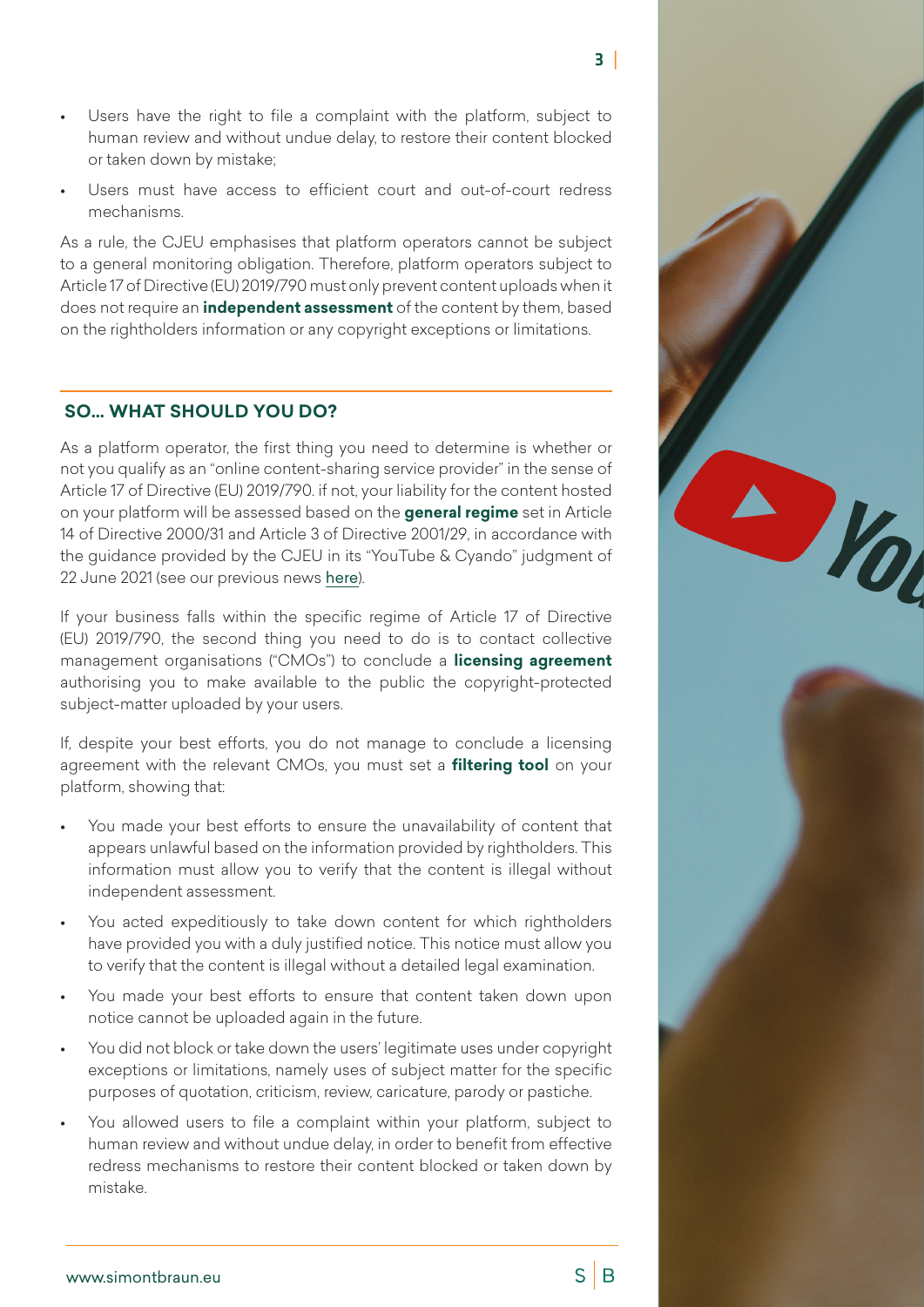- $3<sup>1</sup>$
- Users have the right to file a complaint with the platform, subject to human review and without undue delay, to restore their content blocked or taken down by mistake;
- Users must have access to efficient court and out-of-court redress mechanisms.

As a rule, the CJEU emphasises that platform operators cannot be subject to a general monitoring obligation. Therefore, platform operators subject to Article 17 of Directive (EU) 2019/790 must only prevent content uploads when it does not require an **independent assessment** of the content by them, based on the rightholders information or any copyright exceptions or limitations.

## **SO… WHAT SHOULD YOU DO?**

As a platform operator, the first thing you need to determine is whether or not you qualify as an "online content-sharing service provider" in the sense of Article 17 of Directive (EU) 2019/790. if not, your liability for the content hosted on your platform will be assessed based on the **general regime** set in Article 14 of Directive 2000/31 and Article 3 of Directive 2001/29, in accordance with the guidance provided by the CJEU in its "YouTube & Cyando" judgment of 22 June 2021 (see our previous news [here](https://simontbraun.eu/illegal-uploads-cjeu-landmark-ruling-for-the-platform-economy/2021/06/24/)).

If your business falls within the specific regime of Article 17 of Directive (EU) 2019/790, the second thing you need to do is to contact collective management organisations ("CMOs") to conclude a **licensing agreement**  authorising you to make available to the public the copyright-protected subject-matter uploaded by your users.

If, despite your best efforts, you do not manage to conclude a licensing agreement with the relevant CMOs, you must set a **filtering tool** on your platform, showing that:

- You made your best efforts to ensure the unavailability of content that appears unlawful based on the information provided by rightholders. This information must allow you to verify that the content is illegal without independent assessment.
- You acted expeditiously to take down content for which rightholders have provided you with a duly justified notice. This notice must allow you to verify that the content is illegal without a detailed legal examination.
- You made your best efforts to ensure that content taken down upon notice cannot be uploaded again in the future.
- You did not block or take down the users' legitimate uses under copyright exceptions or limitations, namely uses of subject matter for the specific purposes of quotation, criticism, review, caricature, parody or pastiche.
- You allowed users to file a complaint within your platform, subject to human review and without undue delay, in order to benefit from effective redress mechanisms to restore their content blocked or taken down by mistake.



 $S \mid B$ 

Dia